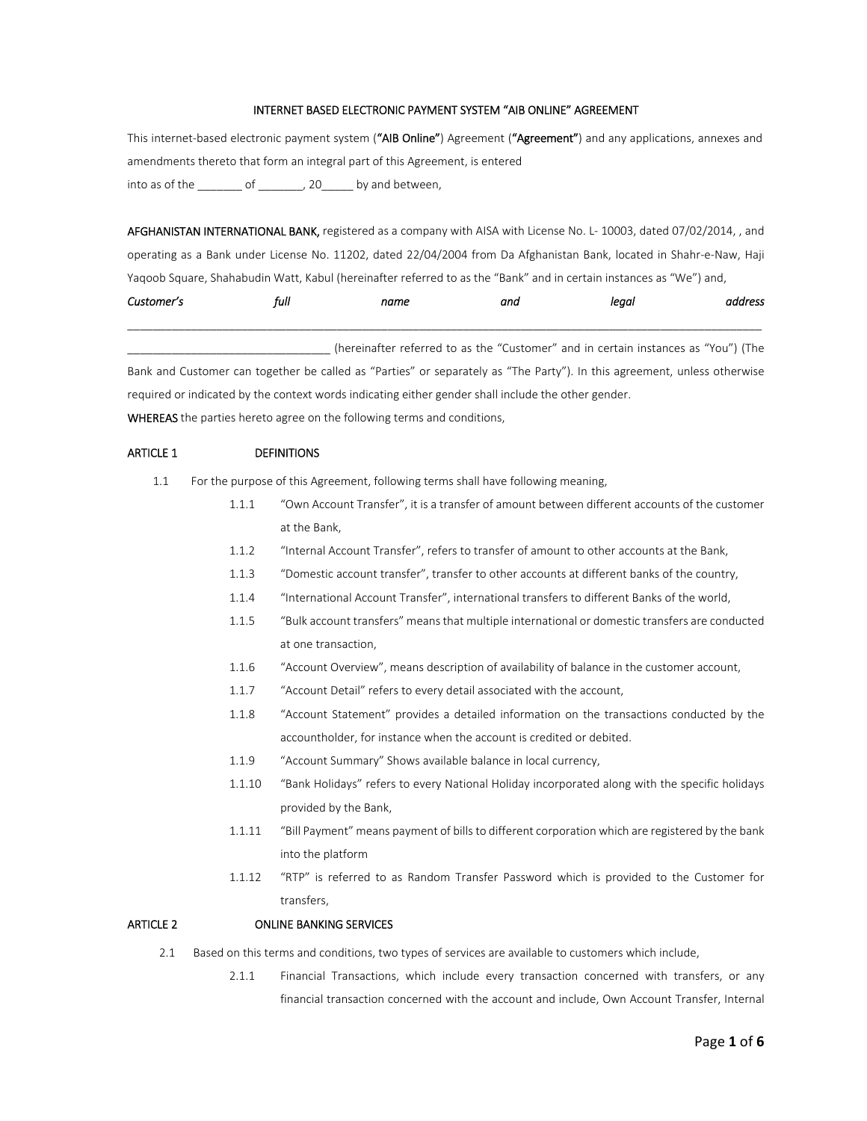# INTERNET BASED ELECTRONIC PAYMENT SYSTEM "AIB ONLINE" AGREEMENT

This internet-based electronic payment system ("AIB Online") Agreement ("Agreement") and any applications, annexes and amendments thereto that form an integral part of this Agreement, is entered into as of the \_\_\_\_\_\_\_\_ of \_\_\_\_\_\_\_, 20\_\_\_\_\_ by and between,

AFGHANISTAN INTERNATIONAL BANK, registered as a company with AISA with License No. L-10003, dated 07/02/2014, , and operating as a Bank under License No. 11202, dated 22/04/2004 from Da Afghanistan Bank, located in Shahr‐e‐Naw, Haji Yaqoob Square, Shahabudin Watt, Kabul (hereinafter referred to as the "Bank" and in certain instances as "We") and,

| -                     | tuli<br>the company's company's company's | 'N<br>the contract of the contract of the |  |
|-----------------------|-------------------------------------------|-------------------------------------------|--|
| _____________________ |                                           |                                           |  |

(hereinafter referred to as the "Customer" and in certain instances as "You") (The Bank and Customer can together be called as "Parties" or separately as "The Party"). In this agreement, unless otherwise required or indicated by the context words indicating either gender shall include the other gender. WHEREAS the parties hereto agree on the following terms and conditions,

# ARTICLE 1 DEFINITIONS

- 1.1 For the purpose of this Agreement, following terms shall have following meaning,
	- 1.1.1 "Own Account Transfer", it is a transfer of amount between different accounts of the customer at the Bank,
	- 1.1.2 "Internal Account Transfer", refers to transfer of amount to other accounts at the Bank,
	- 1.1.3 "Domestic account transfer", transfer to other accounts at different banks of the country,
	- 1.1.4 "International Account Transfer", international transfers to different Banks of the world,
	- 1.1.5 "Bulk account transfers" means that multiple international or domestic transfers are conducted at one transaction,
	- 1.1.6 "Account Overview", means description of availability of balance in the customer account,
	- 1.1.7 "Account Detail" refers to every detail associated with the account,
	- 1.1.8 "Account Statement" provides a detailed information on the transactions conducted by the accountholder, for instance when the account is credited or debited.
	- 1.1.9 "Account Summary" Shows available balance in local currency,
	- 1.1.10 "Bank Holidays" refers to every National Holiday incorporated along with the specific holidays provided by the Bank,
	- 1.1.11 "Bill Payment" means payment of billsto different corporation which are registered by the bank into the platform
	- 1.1.12 "RTP" is referred to as Random Transfer Password which is provided to the Customer for transfers,

#### ARTICLE 2 **ONLINE BANKING SERVICES**

- 2.1 Based on this terms and conditions, two types of services are available to customers which include,
	- 2.1.1 Financial Transactions, which include every transaction concerned with transfers, or any financial transaction concerned with the account and include, Own Account Transfer, Internal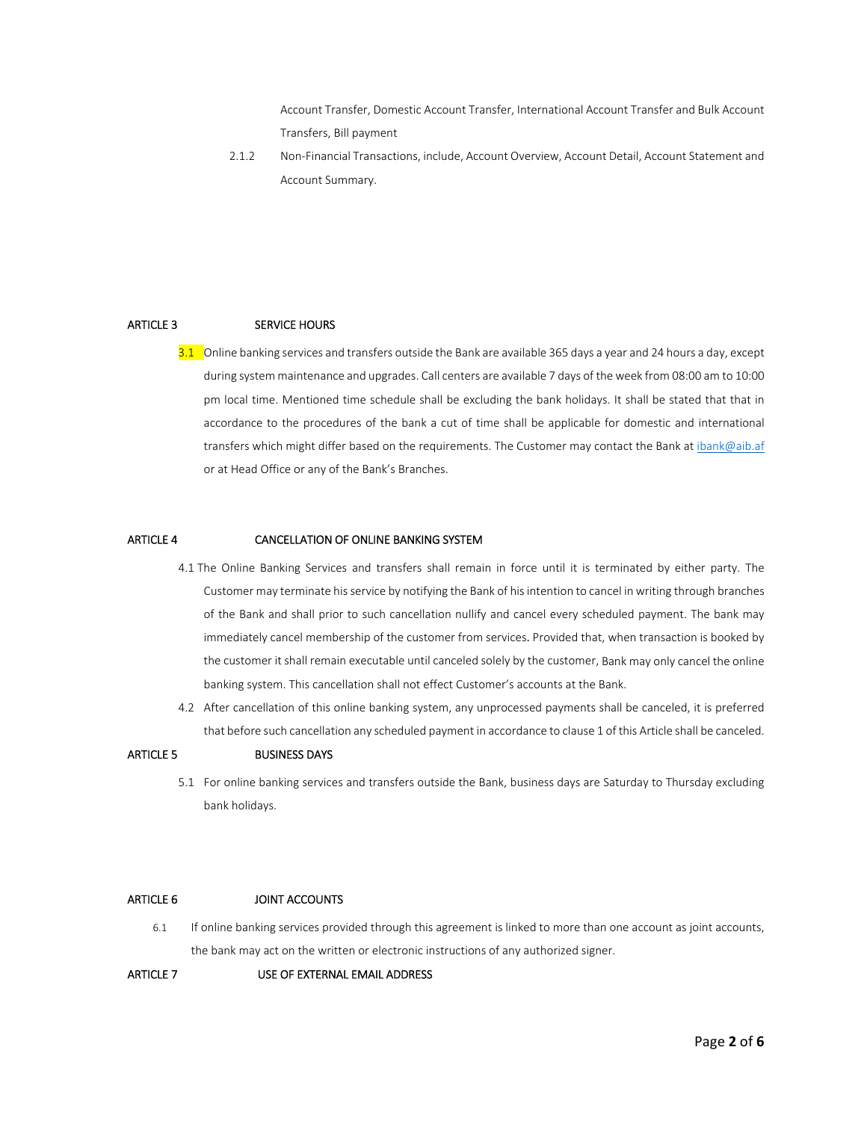Account Transfer, Domestic Account Transfer, International Account Transfer and Bulk Account Transfers, Bill payment

2.1.2 Non-Financial Transactions, include, Account Overview, Account Detail, Account Statement and Account Summary.

# ARTICLE 3 SERVICE HOURS

3.1 Online banking services and transfers outside the Bank are available 365 days a year and 24 hours a day, except during system maintenance and upgrades. Call centers are available 7 days of the week from 08:00 am to 10:00 pm local time. Mentioned time schedule shall be excluding the bank holidays. It shall be stated that that in accordance to the procedures of the bank a cut of time shall be applicable for domestic and international transfers which might differ based on the requirements. The Customer may contact the Bank at ibank@aib.af or at Head Office or any of the Bank's Branches.

# ARTICLE 4 CANCELLATION OF ONLINE BANKING SYSTEM

- 4.1 The Online Banking Services and transfers shall remain in force until it is terminated by either party. The Customer may terminate hisservice by notifying the Bank of hisintention to cancel in writing through branches of the Bank and shall prior to such cancellation nullify and cancel every scheduled payment. The bank may immediately cancel membership of the customer from services. Provided that, when transaction is booked by the customer it shall remain executable until canceled solely by the customer, Bank may only cancel the online banking system. This cancellation shall not effect Customer's accounts at the Bank.
- 4.2 After cancellation of this online banking system, any unprocessed payments shall be canceled, it is preferred that before such cancellation any scheduled payment in accordance to clause 1 of this Article shall be canceled.

# ARTICLE 5 **BUSINESS DAYS**

5.1 For online banking services and transfers outside the Bank, business days are Saturday to Thursday excluding bank holidays.

# ARTICLE 6 JOINT ACCOUNTS

6.1 If online banking services provided through this agreement is linked to more than one account as joint accounts, the bank may act on the written or electronic instructions of any authorized signer.

# ARTICLE 7 USE OF EXTERNAL EMAIL ADDRESS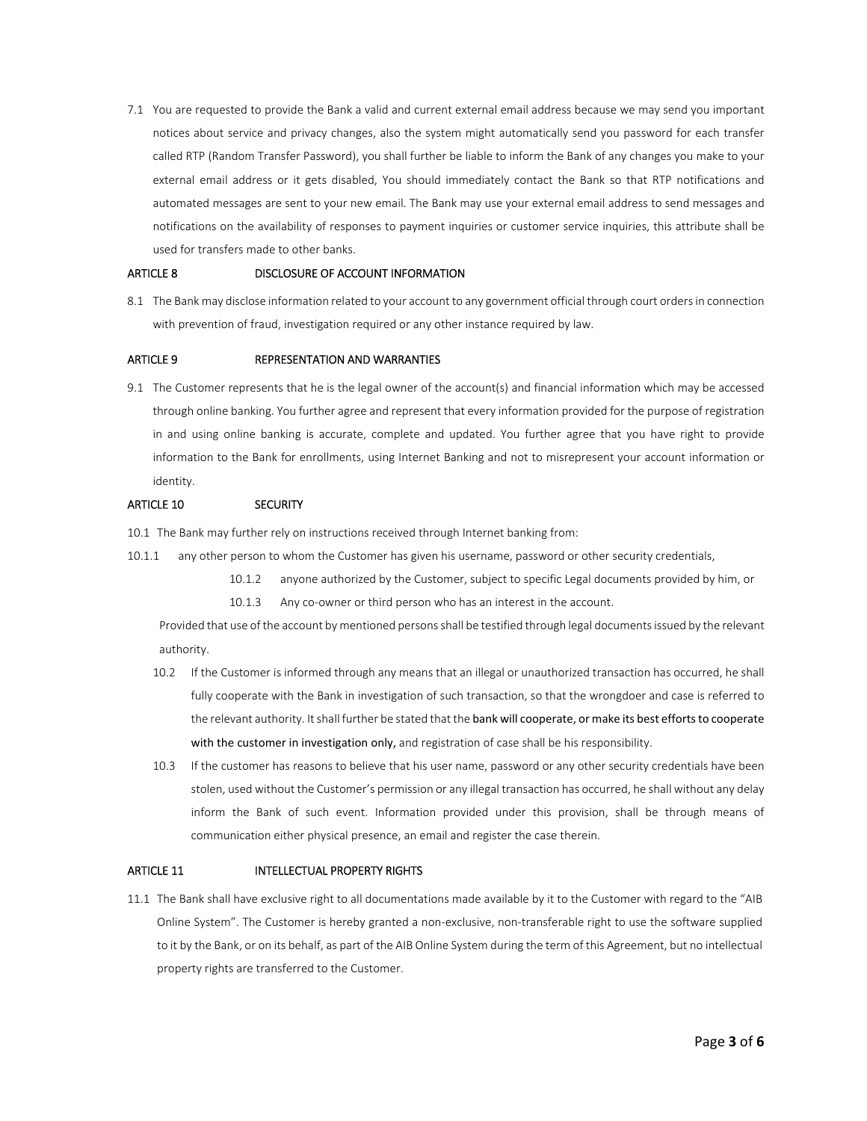7.1 You are requested to provide the Bank a valid and current external email address because we may send you important notices about service and privacy changes, also the system might automatically send you password for each transfer called RTP (Random Transfer Password), you shall further be liable to inform the Bank of any changes you make to your external email address or it gets disabled, You should immediately contact the Bank so that RTP notifications and automated messages are sent to your new email. The Bank may use your external email address to send messages and notifications on the availability of responses to payment inquiries or customer service inquiries, this attribute shall be used for transfers made to other banks.

## ARTICLE 8 **DISCLOSURE OF ACCOUNT INFORMATION**

8.1 The Bank may disclose information related to your account to any government official through court ordersin connection with prevention of fraud, investigation required or any other instance required by law.

# ARTICLE 9 **REPRESENTATION AND WARRANTIES**

9.1 The Customer represents that he is the legal owner of the account(s) and financial information which may be accessed through online banking. You further agree and represent that every information provided for the purpose of registration in and using online banking is accurate, complete and updated. You further agree that you have right to provide information to the Bank for enrollments, using Internet Banking and not to misrepresent your account information or identity.

#### ARTICLE 10 SECURITY

10.1 The Bank may further rely on instructions received through Internet banking from:

- 10.1.1 any other person to whom the Customer has given his username, password or other security credentials,
	- 10.1.2 anyone authorized by the Customer, subject to specific Legal documents provided by him, or
	- 10.1.3 Any co-owner or third person who has an interest in the account.

Provided that use of the account by mentioned persons shall be testified through legal documents issued by the relevant authority.

- 10.2 If the Customer is informed through any means that an illegal or unauthorized transaction has occurred, he shall fully cooperate with the Bank in investigation of such transaction, so that the wrongdoer and case is referred to the relevant authority. It shall further be stated that the bank will cooperate, or make its best efforts to cooperate with the customer in investigation only, and registration of case shall be his responsibility.
- 10.3 If the customer has reasons to believe that his user name, password or any other security credentials have been stolen, used without the Customer's permission or any illegal transaction has occurred, he shall without any delay inform the Bank of such event. Information provided under this provision, shall be through means of communication either physical presence, an email and register the case therein.

### ARTICLE 11 INTELLECTUAL PROPERTY RIGHTS

11.1 The Bank shall have exclusive right to all documentations made available by it to the Customer with regard to the "AIB Online System". The Customer is hereby granted a non‐exclusive, non‐transferable right to use the software supplied to it by the Bank, or on its behalf, as part of the AIB Online System during the term of this Agreement, but no intellectual property rights are transferred to the Customer.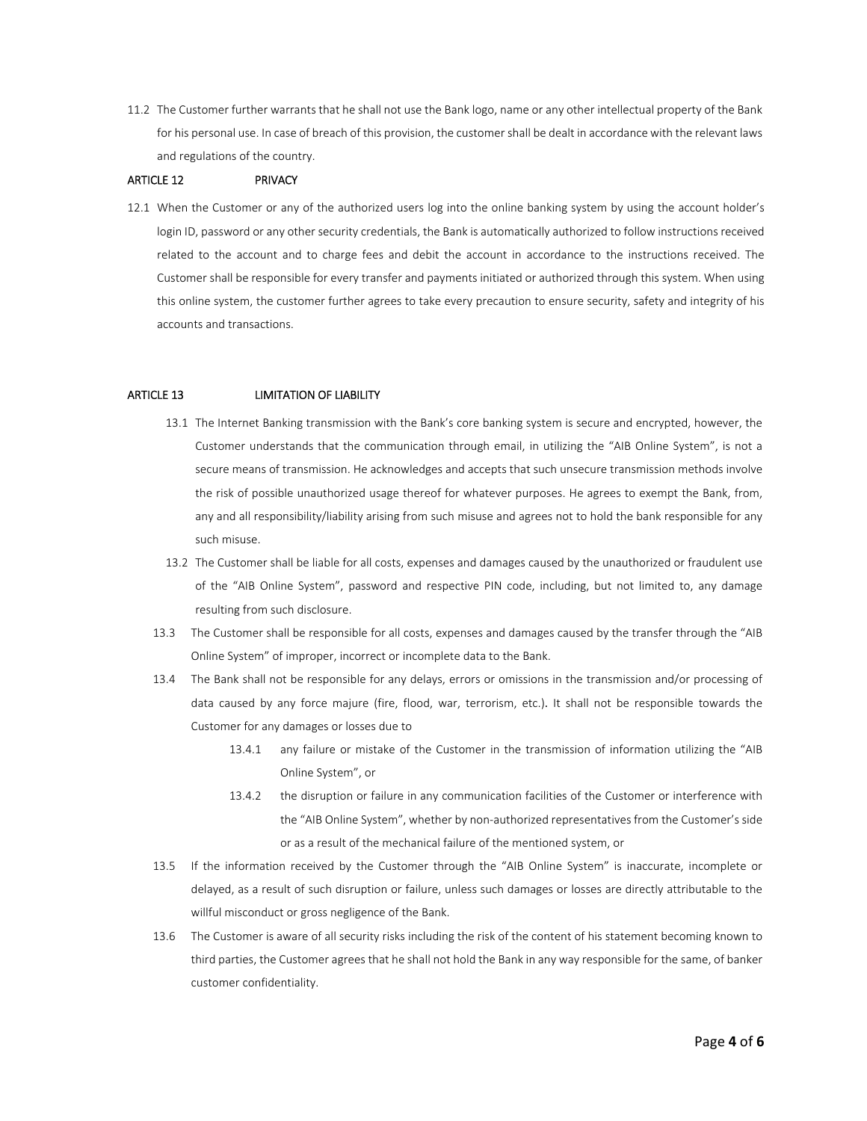11.2 The Customer further warrants that he shall not use the Bank logo, name or any other intellectual property of the Bank for his personal use. In case of breach of this provision, the customer shall be dealt in accordance with the relevant laws and regulations of the country.

#### ARTICLE 12 PRIVACY

12.1 When the Customer or any of the authorized users log into the online banking system by using the account holder's login ID, password or any other security credentials, the Bank is automatically authorized to follow instructions received related to the account and to charge fees and debit the account in accordance to the instructions received. The Customer shall be responsible for every transfer and payments initiated or authorized through this system. When using this online system, the customer further agrees to take every precaution to ensure security, safety and integrity of his accounts and transactions.

#### ARTICLE 13 LIMITATION OF LIABILITY

- 13.1 The Internet Banking transmission with the Bank's core banking system is secure and encrypted, however, the Customer understands that the communication through email, in utilizing the "AIB Online System", is not a secure means of transmission. He acknowledges and accepts that such unsecure transmission methods involve the risk of possible unauthorized usage thereof for whatever purposes. He agrees to exempt the Bank, from, any and all responsibility/liability arising from such misuse and agrees not to hold the bank responsible for any such misuse.
- 13.2 The Customer shall be liable for all costs, expenses and damages caused by the unauthorized or fraudulent use of the "AIB Online System", password and respective PIN code, including, but not limited to, any damage resulting from such disclosure.
- 13.3 The Customer shall be responsible for all costs, expenses and damages caused by the transfer through the "AIB Online System" of improper, incorrect or incomplete data to the Bank.
- 13.4 The Bank shall not be responsible for any delays, errors or omissions in the transmission and/or processing of data caused by any force majure (fire, flood, war, terrorism, etc.). It shall not be responsible towards the Customer for any damages or losses due to
	- 13.4.1 any failure or mistake of the Customer in the transmission of information utilizing the "AIB Online System", or
	- 13.4.2 the disruption or failure in any communication facilities of the Customer or interference with the "AIB Online System", whether by non-authorized representatives from the Customer's side or as a result of the mechanical failure of the mentioned system, or
- 13.5 If the information received by the Customer through the "AIB Online System" is inaccurate, incomplete or delayed, as a result of such disruption or failure, unless such damages or losses are directly attributable to the willful misconduct or gross negligence of the Bank.
- 13.6 The Customer is aware of all security risks including the risk of the content of his statement becoming known to third parties, the Customer agrees that he shall not hold the Bank in any way responsible for the same, of banker customer confidentiality.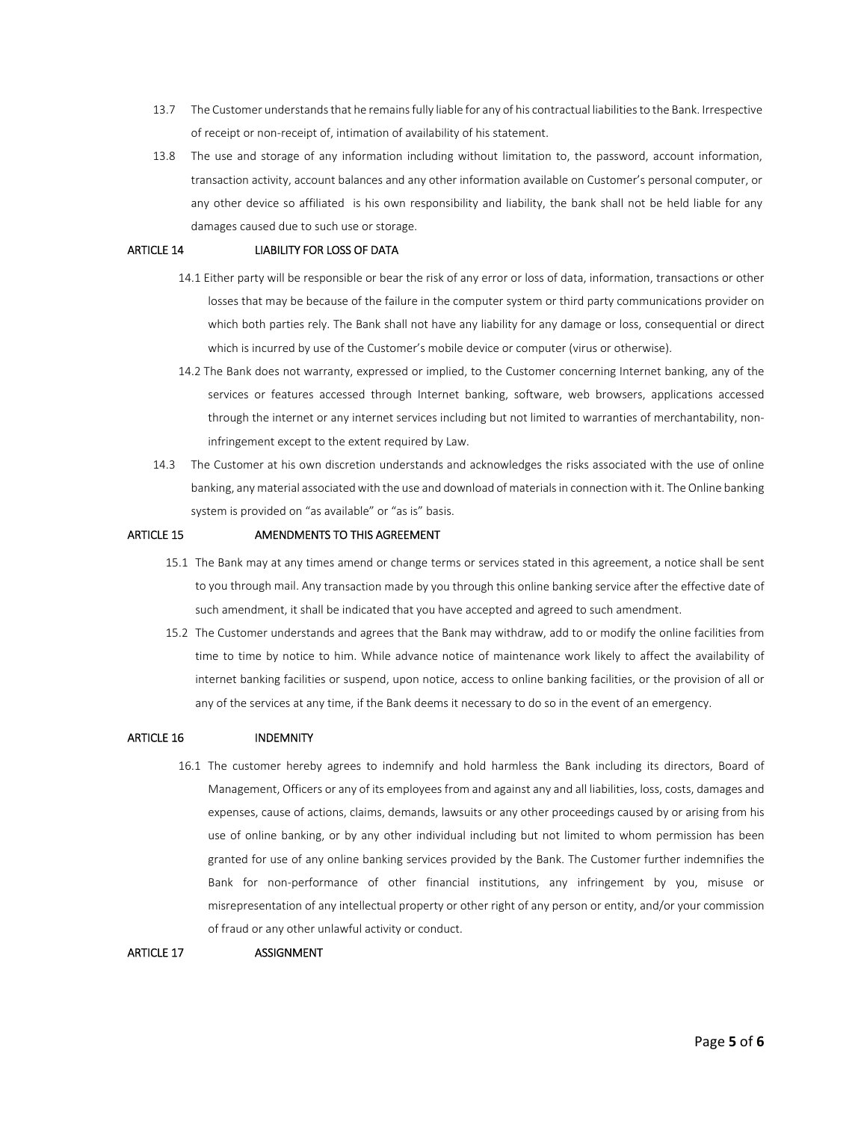- 13.7 The Customer understandsthat he remainsfully liable for any of his contractual liabilitiesto the Bank. Irrespective of receipt or non‐receipt of, intimation of availability of his statement.
- 13.8 The use and storage of any information including without limitation to, the password, account information, transaction activity, account balances and any other information available on Customer's personal computer, or any other device so affiliated is his own responsibility and liability, the bank shall not be held liable for any damages caused due to such use or storage.

# ARTICLE 14 LIABILITY FOR LOSS OF DATA

- 14.1 Either party will be responsible or bear the risk of any error or loss of data, information, transactions or other losses that may be because of the failure in the computer system or third party communications provider on which both parties rely. The Bank shall not have any liability for any damage or loss, consequential or direct which is incurred by use of the Customer's mobile device or computer (virus or otherwise).
- 14.2 The Bank does not warranty, expressed or implied, to the Customer concerning Internet banking, any of the services or features accessed through Internet banking, software, web browsers, applications accessed through the internet or any internet services including but not limited to warranties of merchantability, noninfringement except to the extent required by Law.
- 14.3 The Customer at his own discretion understands and acknowledges the risks associated with the use of online banking, any material associated with the use and download of materials in connection with it. The Online banking system is provided on "as available" or "as is" basis.

#### ARTICLE 15 AMENDMENTS TO THIS AGREEMENT

- 15.1 The Bank may at any times amend or change terms or services stated in this agreement, a notice shall be sent to you through mail. Any transaction made by you through this online banking service after the effective date of such amendment, it shall be indicated that you have accepted and agreed to such amendment.
- 15.2 The Customer understands and agrees that the Bank may withdraw, add to or modify the online facilities from time to time by notice to him. While advance notice of maintenance work likely to affect the availability of internet banking facilities or suspend, upon notice, access to online banking facilities, or the provision of all or any of the services at any time, if the Bank deems it necessary to do so in the event of an emergency.

#### ARTICLE 16 INDEMNITY

16.1 The customer hereby agrees to indemnify and hold harmless the Bank including its directors, Board of Management, Officers or any of its employees from and against any and all liabilities, loss, costs, damages and expenses, cause of actions, claims, demands, lawsuits or any other proceedings caused by or arising from his use of online banking, or by any other individual including but not limited to whom permission has been granted for use of any online banking services provided by the Bank. The Customer further indemnifies the Bank for non‐performance of other financial institutions, any infringement by you, misuse or misrepresentation of any intellectual property or other right of any person or entity, and/or your commission of fraud or any other unlawful activity or conduct.

#### ARTICLE 17 ASSIGNMENT